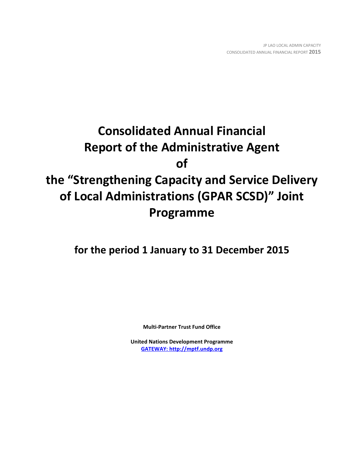# **Consolidated Annual Financial Report of the Administrative Agent of the "Strengthening Capacity and Service Delivery of Local Administrations (GPAR SCSD)" Joint Programme**

**for the period 1 January to 31 December 2015**

**Multi-Partner Trust Fund Office**

**United Nations Development Programme [GATEWAY: http://mptf.undp.org](http://mptf.undp.org/)**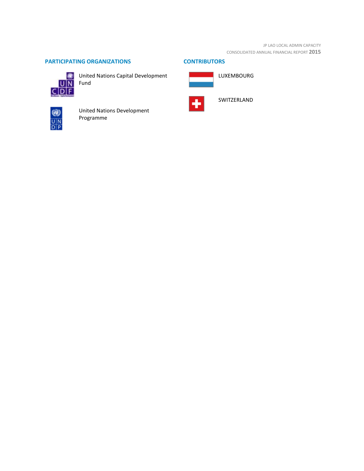JP LAO LOCAL ADMIN CAPACITY CONSOLIDATED ANNUAL FINANCIAL REPORT **2015**

# **PARTICIPATING ORGANIZATIONS CONTRIBUTORS**



United Nations Capital Development



United Nations Development Programme





LUXEMBOURG

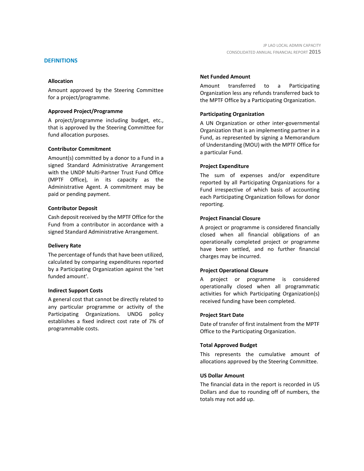## **DEFINITIONS**

## **Allocation**

Amount approved by the Steering Committee for a project/programme.

## **Approved Project/Programme**

A project/programme including budget, etc., that is approved by the Steering Committee for fund allocation purposes.

# **Contributor Commitment**

Amount(s) committed by a donor to a Fund in a signed Standard Administrative Arrangement with the UNDP Multi-Partner Trust Fund Office (MPTF Office), in its capacity as the Administrative Agent. A commitment may be paid or pending payment.

## **Contributor Deposit**

Cash deposit received by the MPTF Office for the Fund from a contributor in accordance with a signed Standard Administrative Arrangement.

## **Delivery Rate**

The percentage of funds that have been utilized, calculated by comparing expenditures reported by a Participating Organization against the 'net funded amount'.

## **Indirect Support Costs**

A general cost that cannot be directly related to any particular programme or activity of the Participating Organizations. UNDG policy establishes a fixed indirect cost rate of 7% of programmable costs.

# **Net Funded Amount**

Amount transferred to a Participating Organization less any refunds transferred back to the MPTF Office by a Participating Organization.

# **Participating Organization**

A UN Organization or other inter-governmental Organization that is an implementing partner in a Fund, as represented by signing a Memorandum of Understanding (MOU) with the MPTF Office for a particular Fund.

# **Project Expenditure**

The sum of expenses and/or expenditure reported by all Participating Organizations for a Fund irrespective of which basis of accounting each Participating Organization follows for donor reporting.

# **Project Financial Closure**

A project or programme is considered financially closed when all financial obligations of an operationally completed project or programme have been settled, and no further financial charges may be incurred.

# **Project Operational Closure**

A project or programme is considered operationally closed when all programmatic activities for which Participating Organization(s) received funding have been completed.

## **Project Start Date**

Date of transfer of first instalment from the MPTF Office to the Participating Organization.

## **Total Approved Budget**

This represents the cumulative amount of allocations approved by the Steering Committee.

## **US Dollar Amount**

The financial data in the report is recorded in US Dollars and due to rounding off of numbers, the totals may not add up.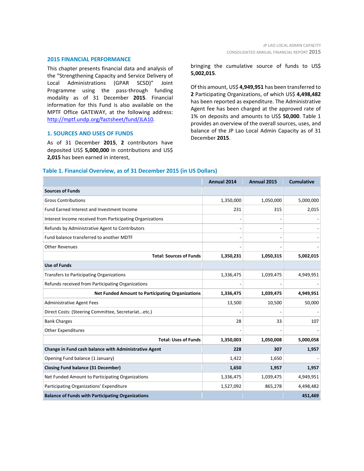#### **2015 FINANCIAL PERFORMANCE**

This chapter presents financial data and analysis of the "Strengthening Capacity and Service Delivery of Local Administrations (GPAR SCSD)" Joint Programme using the pass-through funding modality as of 31 December **2015**. Financial information for this Fund is also available on the MPTF Office GATEWAY, at the following address: [http://mptf.undp.org/factsheet/fund/JLA10.](http://mptf.undp.org/factsheet/fund/JLA10)

## **1. SOURCES AND USES OF FUNDS**

As of 31 December **2015**, **2** contributors have deposited US\$ **5,000,000** in contributions and US\$ **2,015** has been earned in interest,

bringing the cumulative source of funds to US\$ **5,002,015**.

Of this amount, US\$ **4,949,951** has been transferred to **2** Participating Organizations, of which US\$ **4,498,482** has been reported as expenditure. The Administrative Agent fee has been charged at the approved rate of 1% on deposits and amounts to US\$ **50,000**. Table 1 provides an overview of the overall sources, uses, and balance of the JP Lao Local Admin Capacity as of 31 December **2015**.

# **Table 1. Financial Overview, as of 31 December 2015 (in US Dollars)**

|                                                           | Annual 2014 | Annual 2015 | <b>Cumulative</b> |
|-----------------------------------------------------------|-------------|-------------|-------------------|
| <b>Sources of Funds</b>                                   |             |             |                   |
| <b>Gross Contributions</b>                                | 1,350,000   | 1,050,000   | 5,000,000         |
| Fund Earned Interest and Investment Income                | 231         | 315         | 2,015             |
| Interest Income received from Participating Organizations |             |             |                   |
| Refunds by Administrative Agent to Contributors           |             |             |                   |
| Fund balance transferred to another MDTF                  |             |             |                   |
| <b>Other Revenues</b>                                     |             |             |                   |
| <b>Total: Sources of Funds</b>                            | 1,350,231   | 1,050,315   | 5,002,015         |
| <b>Use of Funds</b>                                       |             |             |                   |
| Transfers to Participating Organizations                  | 1,336,475   | 1,039,475   | 4,949,951         |
| Refunds received from Participating Organizations         |             |             |                   |
| <b>Net Funded Amount to Participating Organizations</b>   | 1,336,475   | 1,039,475   | 4,949,951         |
| <b>Administrative Agent Fees</b>                          | 13,500      | 10,500      | 50,000            |
| Direct Costs: (Steering Committee, Secretariatetc.)       |             |             |                   |
| <b>Bank Charges</b>                                       | 28          | 33          | 107               |
| <b>Other Expenditures</b>                                 |             |             |                   |
| <b>Total: Uses of Funds</b>                               | 1,350,003   | 1,050,008   | 5,000,058         |
| Change in Fund cash balance with Administrative Agent     | 228         | 307         | 1,957             |
| Opening Fund balance (1 January)                          | 1,422       | 1,650       |                   |
| <b>Closing Fund balance (31 December)</b>                 | 1,650       | 1,957       | 1,957             |
| Net Funded Amount to Participating Organizations          | 1,336,475   | 1,039,475   | 4,949,951         |
| Participating Organizations' Expenditure                  | 1,527,092   | 865,278     | 4,498,482         |
| <b>Balance of Funds with Participating Organizations</b>  |             |             | 451,469           |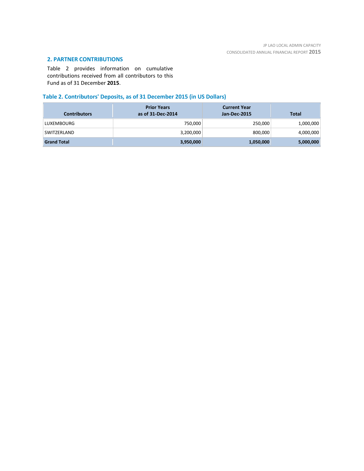# **2. PARTNER CONTRIBUTIONS**

Table 2 provides information on cumulative contributions received from all contributors to this Fund as of 31 December **2015**.

# **Table 2. Contributors' Deposits, as of 31 December 2015 (in US Dollars)**

| <b>Contributors</b> | <b>Prior Years</b><br>as of 31-Dec-2014 | <b>Current Year</b><br><b>Jan-Dec-2015</b> | <b>Total</b> |
|---------------------|-----------------------------------------|--------------------------------------------|--------------|
| LUXEMBOURG          | 750,000                                 | 250,000                                    | 1,000,000    |
| SWITZERLAND         | 3,200,000                               | 800,000                                    | 4,000,000    |
| <b>Grand Total</b>  | 3,950,000                               | 1,050,000                                  | 5,000,000    |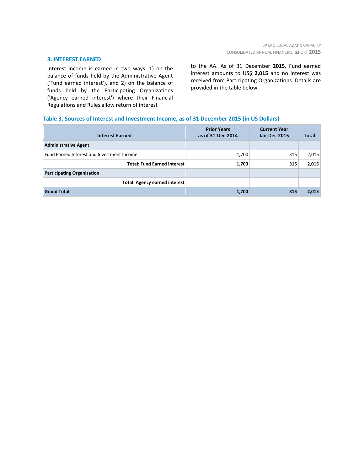## **3. INTEREST EARNED**

Interest income is earned in two ways: 1) on the balance of funds held by the Administrative Agent ('Fund earned interest'), and 2) on the balance of funds held by the Participating Organizations ('Agency earned interest') where their Financial Regulations and Rules allow return of interest

to the AA. As of 31 December **2015**, Fund earned interest amounts to US\$ **2,015** and no interest was received from Participating Organizations. Details are provided in the table below.

# **Table 3. Sources of Interest and Investment Income, as of 31 December 2015 (in US Dollars)**

| <b>Interest Earned</b>                     | <b>Prior Years</b><br>as of 31-Dec-2014 | <b>Current Year</b><br><b>Jan-Dec-2015</b> | Total |
|--------------------------------------------|-----------------------------------------|--------------------------------------------|-------|
| <b>Administrative Agent</b>                |                                         |                                            |       |
| Fund Earned Interest and Investment Income | 1,700                                   | 315                                        | 2,015 |
| <b>Total: Fund Earned Interest</b>         | 1,700                                   | 315                                        | 2,015 |
| <b>Participating Organization</b>          |                                         |                                            |       |
| <b>Total: Agency earned interest</b>       |                                         |                                            |       |
| <b>Grand Total</b>                         | 1,700                                   | 315                                        | 2,015 |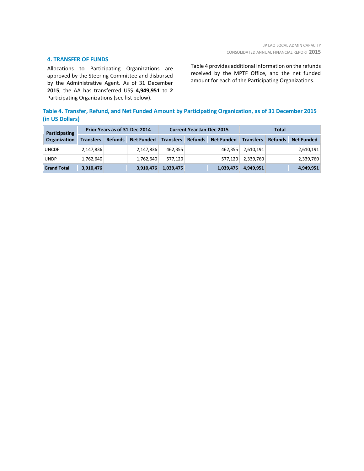# **4. TRANSFER OF FUNDS**

Allocations to Participating Organizations are approved by the Steering Committee and disbursed by the Administrative Agent. As of 31 December **2015**, the AA has transferred US\$ **4,949,951** to **2** Participating Organizations (see list below).

Table 4 provides additional information on the refunds received by the MPTF Office, and the net funded amount for each of the Participating Organizations.

# **Table 4. Transfer, Refund, and Net Funded Amount by Participating Organization, as of 31 December 2015 (in US Dollars)**

| <b>Participating</b> | Prior Years as of 31-Dec-2014 |                |                   | <b>Current Year Jan-Dec-2015</b> |                |                   | Total            |                |                   |
|----------------------|-------------------------------|----------------|-------------------|----------------------------------|----------------|-------------------|------------------|----------------|-------------------|
| Organization         | <b>Transfers</b>              | <b>Refunds</b> | <b>Net Funded</b> | <b>Transfers</b>                 | <b>Refunds</b> | <b>Net Funded</b> | <b>Transfers</b> | <b>Refunds</b> | <b>Net Funded</b> |
| <b>UNCDF</b>         | 2,147,836                     |                | 2,147,836         | 462.355                          |                | 462.355           | 2,610,191        |                | 2,610,191         |
| <b>UNDP</b>          | 1,762,640                     |                | 1,762,640         | 577.120                          |                | 577.120           | 2,339,760        |                | 2,339,760         |
| <b>Grand Total</b>   | 3,910,476                     |                | 3,910,476         | 1,039,475                        |                | 1,039,475         | 4,949,951        |                | 4,949,951         |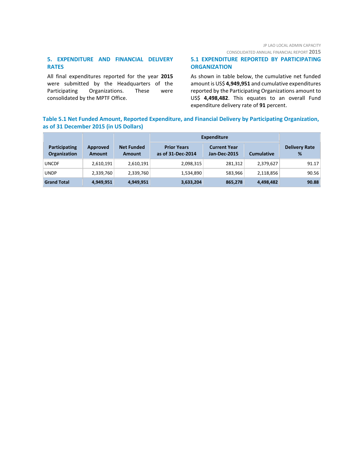# JP LAO LOCAL ADMIN CAPACITY

CONSOLIDATED ANNUAL FINANCIAL REPORT **2015**

# **5. EXPENDITURE AND FINANCIAL DELIVERY RATES**

All final expenditures reported for the year **2015** were submitted by the Headquarters of the Participating Organizations. These were consolidated by the MPTF Office.

# **5.1 EXPENDITURE REPORTED BY PARTICIPATING ORGANIZATION**

As shown in table below, the cumulative net funded amount is US\$ **4,949,951** and cumulative expenditures reported by the Participating Organizations amount to US\$ **4,498,482**. This equates to an overall Fund expenditure delivery rate of **91** percent.

# **Table 5.1 Net Funded Amount, Reported Expenditure, and Financial Delivery by Participating Organization, as of 31 December 2015 (in US Dollars)**

|                                      |                           |                             | <b>Expenditure</b>                      |                                            |                   |                           |
|--------------------------------------|---------------------------|-----------------------------|-----------------------------------------|--------------------------------------------|-------------------|---------------------------|
| Participating<br><b>Organization</b> | Approved<br><b>Amount</b> | <b>Net Funded</b><br>Amount | <b>Prior Years</b><br>as of 31-Dec-2014 | <b>Current Year</b><br><b>Jan-Dec-2015</b> | <b>Cumulative</b> | <b>Delivery Rate</b><br>% |
| <b>UNCDF</b>                         | 2,610,191                 | 2,610,191                   | 2,098,315                               | 281,312                                    | 2,379,627         | 91.17                     |
| <b>UNDP</b>                          | 2,339,760                 | 2,339,760                   | 1,534,890                               | 583,966                                    | 2,118,856         | 90.56                     |
| <b>Grand Total</b>                   | 4,949,951                 | 4,949,951                   | 3,633,204                               | 865,278                                    | 4,498,482         | 90.88                     |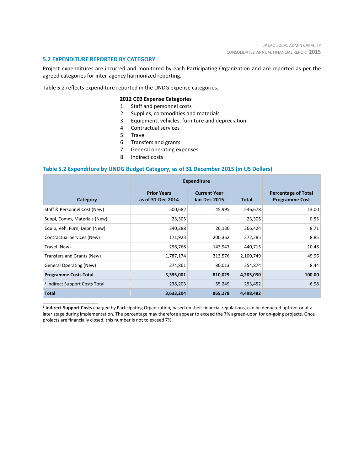#### **5.2 EXPENDITURE REPORTED BY CATEGORY**

\_\_\_\_\_\_\_\_\_\_\_\_\_\_\_\_\_\_\_\_\_\_

Project expenditures are incurred and monitored by each Participating Organization and are reported as per the agreed categories for inter-agency harmonized reporting.

Table 5.2 reflects expenditure reported in the UNDG expense categories.

# **2012 CEB Expense Categories**

- 1. Staff and personnel costs
- 2. Supplies, commodities and materials
- 3. Equipment, vehicles, furniture and depreciation
- 4. Contractual services
- 5. Travel
- 6. Transfers and grants
- 7. General operating expenses
- 8. Indirect costs

## **Table 5.2 Expenditure by UNDG Budget Category, as of 31 December 2015 (in US Dollars)**

|                                           | <b>Expenditure</b>                      |                                            |              |                                                     |
|-------------------------------------------|-----------------------------------------|--------------------------------------------|--------------|-----------------------------------------------------|
| Category                                  | <b>Prior Years</b><br>as of 31-Dec-2014 | <b>Current Year</b><br><b>Jan-Dec-2015</b> | <b>Total</b> | <b>Percentage of Total</b><br><b>Programme Cost</b> |
| Staff & Personnel Cost (New)              | 500,682                                 | 45,995                                     | 546,678      | 13.00                                               |
| Suppl, Comm, Materials (New)              | 23,305                                  |                                            | 23,305       | 0.55                                                |
| Equip, Veh, Furn, Depn (New)              | 340,288                                 | 26,136                                     | 366,424      | 8.71                                                |
| Contractual Services (New)                | 171,923                                 | 200,362                                    | 372,285      | 8.85                                                |
| Travel (New)                              | 296,768                                 | 143,947                                    | 440,715      | 10.48                                               |
| Transfers and Grants (New)                | 1,787,174                               | 313,576                                    | 2,100,749    | 49.96                                               |
| <b>General Operating (New)</b>            | 274,861                                 | 80,013                                     | 354,874      | 8.44                                                |
| <b>Programme Costs Total</b>              | 3,395,001                               | 810,029                                    | 4,205,030    | 100.00                                              |
| <sup>1</sup> Indirect Support Costs Total | 238,203                                 | 55,249                                     | 293,452      | 6.98                                                |
| <b>Total</b>                              | 3,633,204                               | 865,278                                    | 4,498,482    |                                                     |

**<sup>1</sup> Indirect Support Costs** charged by Participating Organization, based on their financial regulations, can be deducted upfront or at a later stage during implementation. The percentage may therefore appear to exceed the 7% agreed-upon for on-going projects. Once projects are financially closed, this number is not to exceed 7%.